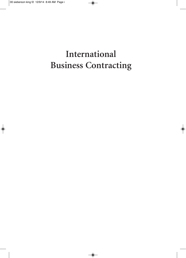# International **Business Contracting**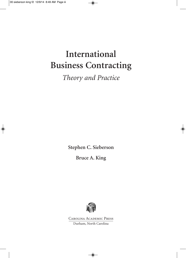# **International Business Contracting**

*Theory and Practice*

**Stephen C. Sieberson**

**Bruce A. King**



Carolina Academic Press Durham, North Carolina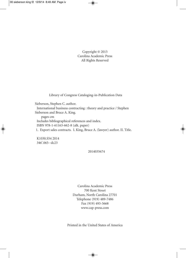Copyright © 2015 Carolina Academic Press All Rights Reserved

Library of Congress Cataloging-in-Publication Data

Sieberson, Stephen C. author.

International business contracting : theory and practice / Stephen Sieberson and Bruce A. King.

pages cm Includes bibliographical references and index. ISBN 978-1-61163-662-8 (alk. paper) 1. Export sales contracts. I. King, Bruce A. (lawyer) author. II. Title.

K1030.S54 2014 346'.065--dc23

2014035674

Carolina Academic Press 700 Kent Street Durham, North Carolina 27701 Telephone (919) 489-7486 Fax (919) 493-5668 www.cap-press.com

Printed in the United States of America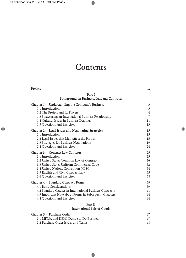## **Contents**

| Preface                                                   | ix             |
|-----------------------------------------------------------|----------------|
| Part I<br>Background on Business, Law, and Contracts      |                |
| Chapter $1 \cdot$ Understanding the Company's Business    | 3              |
| 1.1 Introduction                                          | $\mathfrak{Z}$ |
| 1.2 The Project and Its Players                           | $\overline{4}$ |
| 1.3 Structuring an International Business Relationship    | 7              |
| 1.4 Cultural Issues in Business Dealings                  | 11             |
| 1.5 Questions and Exercises                               | 13             |
| Chapter $2 \cdot$ Legal Issues and Negotiating Strategies | 15             |
| 2.1 Introduction                                          | 15             |
| 2.2 Legal Issues that May Affect the Parties              | 15             |
| 2.3 Strategies for Business Negotiations                  | 19             |
| 2.4 Questions and Exercises                               | 24             |
| Chapter 3 · Contract Law Concepts                         | 25             |
| 3.1 Introduction                                          | 25             |
| 3.2 United States Common Law of Contract                  | 26             |
| 3.3 United States Uniform Commercial Code                 | 32             |
| 3.4 United Nations Convention (CISG)                      | 34             |
| 3.5 English and Civil Contract Law                        | 35             |
| 3.6 Questions and Exercises                               | 38             |
| Chapter 4 · Standard Contract Terms                       | 39             |
| 4.1 Basic Considerations                                  | 39             |
| 4.2 Standard Clauses in International Business Contracts  | 41             |
| 4.3 Important Note about Forms in Subsequent Chapters     | 44             |
| 4.4 Questions and Exercises                               | 44             |
| $\mathbf{n} \sim \mathbf{H}$                              |                |

### **Part II International Sale of Goods**

| Chapter $5 \cdot$ Purchase Order         |    |
|------------------------------------------|----|
| 5.1 MITSA and DEMI Decide to Do Business |    |
| 5.2 Purchase Order Issues and Terms      | 48 |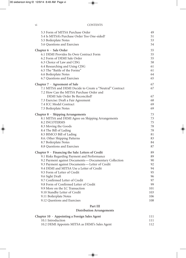| 5.3 Form of MITSA Purchase Order                                                                | 49        |
|-------------------------------------------------------------------------------------------------|-----------|
| 5.4 Is MITSA's Purchase Order Too One-sided?                                                    | 51        |
| 5.5 Boilerplate Notes                                                                           | 53        |
| 5.6 Questions and Exercises                                                                     | 54        |
| Chapter 6 · Sale Order                                                                          | 55        |
| 6.1 DEMI Provides Its Own Contract Form                                                         | 55        |
| 6.2 Form of DEMI Sale Order                                                                     | 55        |
| 6.3 Choice of Law and CISG                                                                      | 58        |
| 6.4 Researching and Using CISG<br>6.5 The "Battle of the Forms"                                 | 61<br>61  |
| 6.6 Boilerplate Notes                                                                           | 64        |
| 6.7 Questions and Exercises                                                                     | 65        |
|                                                                                                 |           |
| Chapter $7 \cdot$ Agreement of Sale<br>7.1 MITSA and DEMI Decide to Create a "Neutral" Contract | 67<br>67  |
| 7.2 How Can the MITSA Purchase Order and                                                        |           |
| DEMI Sale Order Be Reconciled?                                                                  | 67        |
| 7.3 Exercise: Draft a Fair Agreement                                                            | 68        |
| 7.4 ICC Model Contract                                                                          | 69        |
| 7.5 Boilerplate Notes                                                                           | 69        |
| Chapter $8 \cdot$ Shipping Arrangements                                                         | 73        |
| 8.1 MITSA and DEMI Agree on Shipping Arrangements                                               | 73        |
| <b>8.2 INCOTERMS</b>                                                                            | 75        |
| 8.3 Moving the Goods                                                                            | 78        |
| 8.4 The Bill of Lading                                                                          | 78        |
| 8.5 BIMCO Bill of Lading                                                                        | 81        |
| 8.6. Other Shipping Patterns                                                                    | 83        |
| 8.7 Boilerplate Notes                                                                           | 84        |
| 8.8 Questions and Exercises                                                                     | 87        |
| Chapter 9 · Financing the Sale: Letters of Credit                                               | 89        |
| 9.1 Risks Regarding Payment and Performance                                                     | 89        |
| 9.2 Payment against Documents-Documentary Collection                                            | 90        |
| 9.3 Payment against Documents-Letter of Credit                                                  | 92        |
| 9.4 DEMI and MITSA Use a Letter of Credit                                                       | 94        |
| 9.5 Form of Letter of Credit                                                                    | 95        |
| 9.6 Sight Draft                                                                                 | 96        |
| 9.7 Confirmed Letter of Credit                                                                  | 97        |
| 9.8 Form of Confirmed Letter of Credit<br>9.9 More on the LC Transaction                        | 99<br>101 |
| 9.10 Standby Letter of Credit                                                                   | 103       |
| 9.11 Boilerplate Notes                                                                          | 106       |
| 9.12 Questions and Exercises                                                                    | 108       |
|                                                                                                 |           |
| Part III<br><b>Distribution Arrangements</b>                                                    |           |
|                                                                                                 |           |

| Chapter $10 \cdot$ Appointing a Foreign Sales Agent | 111 |
|-----------------------------------------------------|-----|
| 10.1 Introduction                                   | 111 |
| 10.2 DEMI Appoints MITSA as DEMI's Sales Agent      | 112 |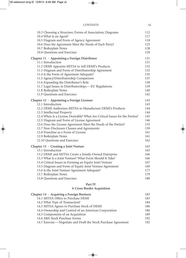| 10.3 Choosing a Structure; Forms of Association; Diagrams                   | 112 |
|-----------------------------------------------------------------------------|-----|
| 10.4 What Is an Agent?                                                      | 117 |
| 10.5 Diagram and Form of Agency Agreement                                   | 118 |
| 10.6 Does the Agreement Meet the Needs of Each Party?                       | 125 |
| 10.7 Boilerplate Notes                                                      | 128 |
| 10.8 Questions and Exercises                                                | 129 |
| Chapter 11 · Appointing a Foreign Distributor                               | 131 |
| 11.1 Introduction                                                           | 131 |
| 11.2 DEMI Appoints MITSA to Sell DEMI's Products                            | 132 |
| 11.3 Diagram and Form of Distributorship Agreement                          | 132 |
| 11.4 Is the Form of Agreement Adequate?                                     | 135 |
| 11.5 Agency/Distributorship Comparison                                      | 137 |
| 11.6 Expanding the Distributor's Role                                       | 138 |
| 11.7 Legal Issues in Distributorships-EU Regulations                        | 139 |
| 11.8 Boilerplate Notes                                                      | 140 |
| 11.9 Questions and Exercises                                                | 142 |
| Chapter 12 · Appointing a Foreign Licensee                                  | 143 |
| 12.1 Introduction                                                           | 143 |
| 12.2 DEMI Authorizes MITSA to Manufacture DEMI's Products                   | 144 |
| 12.3 Intellectual Property                                                  | 144 |
| 12.4 When Is a License Desirable? What Are Critical Issues for the Parties? | 145 |
| 12.5 Diagram and Form of License Agreement                                  | 146 |
| 12.6 Does the License Agreement Meet the Needs of the Parties?              | 155 |
| 12.7 Non-Disclosure Clauses and Agreements                                  | 159 |
| 12.8 Franchise as a Form of License                                         | 161 |
| 12.9 Boilerplate Notes                                                      | 161 |
| 12.10 Questions and Exercises                                               | 162 |
| Chapter 13 · Creating a Joint Venture                                       | 165 |
| 13.1 Introduction                                                           | 165 |
| 13.2 DEMI and MITSA Create a Jointly-Owned Enterprise                       | 166 |
| 13.3 What Is a Joint Venture? What Form Should It Take?                     | 166 |
| 13.4 Critical Issues in Forming an Equity Joint Venture                     | 167 |
| 13.5 Diagram and Form of Equity Joint Venture Agreement                     | 169 |
| 13.6 Is the Joint Venture Agreement Adequate?                               | 177 |
| 13.7 Boilerplate Notes                                                      | 179 |
| 13.8 Questions and Exercises                                                | 180 |
| Part IV<br>A Cross-Border Acquisition                                       |     |
|                                                                             |     |
| Chapter 14 · Acquiring a Foreign Business                                   | 183 |
| 14.1 MITSA Offers to Purchase DEMI                                          | 183 |
| 14.2 What Type of Transaction?                                              | 184 |

14.3 MITSA Agrees to Purchase Stock of DEMI 186 14.4 Ownership and Control of an American Corporation 186 14.5 Components of an Acquisition 189 14.6 ABA Stock Purchase Forms 192 14.7 Exercise—Negotiate and Draft the Stock Purchase Agreement 192

| <b>CONTENTS</b> |  |
|-----------------|--|
|                 |  |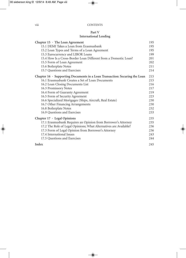### **Part V International Lending**

| Chapter $15 \cdot$ The Loan Agreement                                      | 195 |
|----------------------------------------------------------------------------|-----|
| 15.1 DEMI Takes a Loan from Erasmusbank                                    | 195 |
| 15.2 Loan Types and Terms of a Loan Agreement                              | 195 |
| 15.3 Eurocurrency and LIBOR Loans                                          | 199 |
| 15.4 How Is a Cross-Border Loan Different from a Domestic Loan?            | 201 |
| 15.5 Form of Loan Agreement                                                | 202 |
| 15.6 Boilerplate Notes                                                     | 211 |
| 15.7 Questions and Exercises                                               | 214 |
| Chapter 16 · Supporting Documents in a Loan Transaction: Securing the Loan | 215 |
| 16.1 Erasmusbank Creates a Set of Loan Documents                           | 215 |
| 16.2 Loan Closing Documents List                                           | 216 |
| 16.3 Promissory Notes                                                      | 217 |
| 16.4 Form of Guaranty Agreement                                            | 219 |
| 16.5 Form of Security Agreement                                            | 223 |
| 16.6 Specialized Mortgages (Ships, Aircraft, Real Estate)                  | 230 |
| 16.7 Other Financing Arrangements                                          | 230 |
| 16.8 Boilerplate Notes                                                     | 232 |
| 16.9 Questions and Exercises                                               | 233 |
| Chapter $17 \cdot$ Legal Opinions                                          | 235 |
| 17.1 Erasmusbank Requires an Opinion from Borrower's Attorney              | 235 |
| 17.2 The Role of Legal Opinions; What Alternatives are Available?          | 236 |
| 17.3 Form of Legal Opinion from Borrower's Attorney                        | 236 |
| 17.4 International Issues                                                  | 243 |
| 17.5 Questions and Exercises                                               | 244 |
| Index                                                                      | 245 |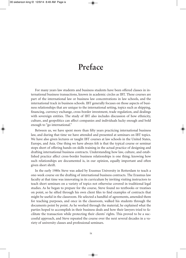## **Preface**

For many years law students and business students have been offered classes in international business transactions, known in academic circles as IBT. These courses are part of the international law or business law concentrations in law schools, and the international track in business schools. IBT generally focuses on those aspects of business relationships that are unique to the international setting, topics such as shipping, financing, currency exchange, cross-border investment, trade regulation, and dealings with sovereign entities. The study of IBT also includes discussion of how ethnicity, culture, and geopolitics can affect companies and individuals lucky enough and bold enough to "go international."

Between us, we have spent more than fifty years practicing international business law, and during that time we have attended and presented at seminars on IBT topics. We have also given lectures or taught IBT courses at law schools in the United States, Europe, and Asia. One thing we have always felt is that the typical course or seminar stops short of offering hands-on skills training in the actual practice of designing and drafting international business contracts. Understanding how law, culture, and established practice affect cross-border business relationships is one thing; knowing how such relationships are documented is, in our opinion, equally important and often given short shrift.

In the early 1980s Steve was asked by Erasmus University in Rotterdam to teach a one-week course on the drafting of international business contracts. The Erasmus law faculty at that time was innovating in its curriculum by inviting visiting instructors to teach short seminars on a variety of topics not otherwise covered in traditional legal studies. As he began to prepare for the course, Steve found no textbooks or treatises on point, so he sifted through his own client files to find examples of contracts that might be useful in the classroom. He selected a handful of agreements, amended them for teaching purposes, and once in the classroom, walked his students through the documents point by point. As he worked through the material, he explained what the parties hoped to accomplish in their business deals and how their lawyers tried to facilitate the transaction while protecting their clients' rights. This proved to be a successful approach, and Steve repeated the course over the next several decades in a variety of university classes and professional seminars.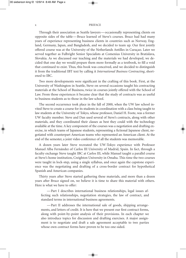#### x PREFACE

Through their association as Seattle lawyers—occasionally representing clients on opposite sides of the table—Bruce learned of Steve's courses. Bruce had had many years of experience representing business clients in countries such as Norway, England, Germany, Japan, and Bangladesh, and we decided to team up. Our first jointly offered course was at the University of the Netherlands Antilles in Curaçao. Later we served together as Fulbright Senior Specialists at Comenius University in Bratislava, Slovakia. As we discussed our teaching and the materials we had developed, we decided that one day we would prepare them more formally as a textbook, to fill a void that continued to exist. Thus, this book was conceived, and we decided to distinguish it from the traditional IBT text by calling it *International Business Contracting*, shortened to IBC.

Two more developments were significant in the crafting of this book. First, at the University of Washington in Seattle, Steve on several occasions taught his contracting materials at the School of Business, twice in courses jointly offered with the School of Law. From those experiences it became clear that the study of contracts was as useful to business students as to those in the law school.

The second occurrence took place in the fall of 2000, when the UW law school invited Steve to create a course for its students in coordination with a class being taught to law students at the University of Tokyo, whose professor, Daniel H. Foote, was a former UW faculty member. Steve and Dan used several of Steve's contracts, along with other materials, and they coordinated their classes as best they could with the technology available at the time. A key component of the courses was a negotiation and drafting exercise, in which teams of Japanese students, representing a fictional Japanese client, negotiated with counterpart American teams who represented an American client. At the end of the semester, a joint video conference of all the students was memorable.

A dozen years later Steve recreated the UW-Tokyo experience with Professor Manuel Alba Fernández of Carlos III University of Madrid, Spain. In fact, through a faculty exchange Steve taught IBC at Carlos III, while Manuel taught a parallel course at Steve's home institution, Creighton University in Omaha. This time the two courses were taught in lock-step, using a single syllabus, and once again the capstone experience was the negotiating and drafting of a cross-border contract for hypothetical Spanish and American companies.

Thirty years after Steve started gathering these materials, and more than a dozen years after Bruce signed on, we believe it is time to share this material with others. Here is what we have to offer:

—Part I describes international business relationships, legal issues affecting such relationships, negotiation strategies, the law of contract, and standard terms in international business agreements.

—Part II addresses the international sale of goods, shipping arrangements, and letters of credit. It is here that we present our first contract forms, along with point-by-point analysis of their provisions. In each chapter we also introduce topics for discussion and drafting exercises. A major assignment is to negotiate and draft a sale agreement acceptable to two parties whose own contract forms have proven to be too one-sided.